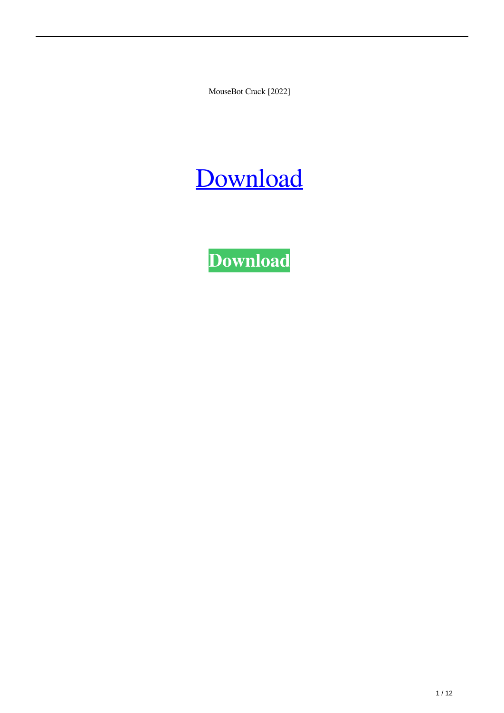MouseBot Crack [2022]

## [Download](http://evacdir.com/TW91c2VCb3QTW9/insurecom.overselling.memberships.roseate/ruptures/schulte.ZG93bmxvYWR8SXY0TjNkMWRYeDhNVFkxTkRVeU1qRXhNSHg4TWpVNU1IeDhLRTBwSUZkdmNtUndjbVZ6Y3lCYldFMU1VbEJESUZZeUlGQkVSbDA)

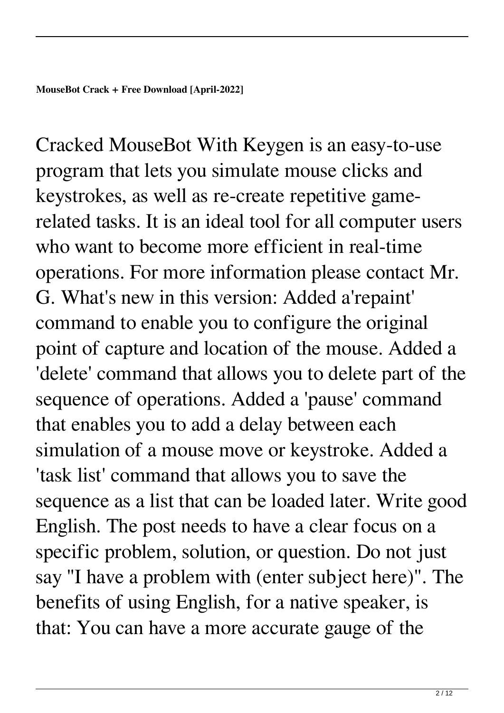Cracked MouseBot With Keygen is an easy-to-use program that lets you simulate mouse clicks and keystrokes, as well as re-create repetitive gamerelated tasks. It is an ideal tool for all computer users who want to become more efficient in real-time operations. For more information please contact Mr. G. What's new in this version: Added a'repaint' command to enable you to configure the original point of capture and location of the mouse. Added a 'delete' command that allows you to delete part of the sequence of operations. Added a 'pause' command that enables you to add a delay between each simulation of a mouse move or keystroke. Added a 'task list' command that allows you to save the sequence as a list that can be loaded later. Write good English. The post needs to have a clear focus on a specific problem, solution, or question. Do not just say "I have a problem with (enter subject here)". The benefits of using English, for a native speaker, is that: You can have a more accurate gauge of the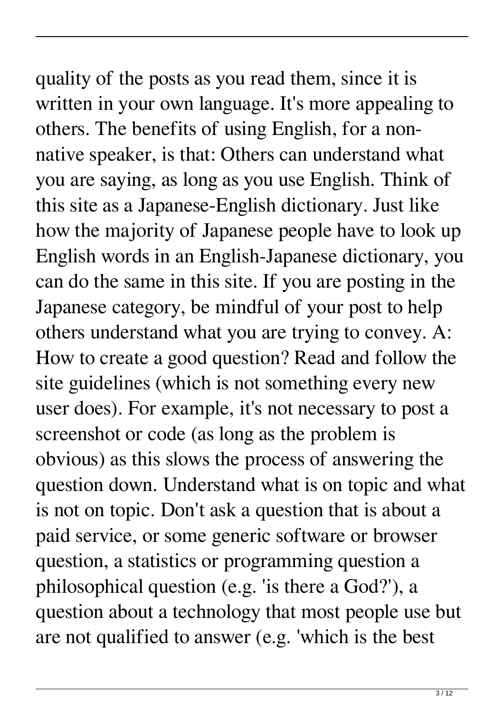## quality of the posts as you read them, since it is written in your own language. It's more appealing to

others. The benefits of using English, for a nonnative speaker, is that: Others can understand what you are saying, as long as you use English. Think of this site as a Japanese-English dictionary. Just like how the majority of Japanese people have to look up English words in an English-Japanese dictionary, you can do the same in this site. If you are posting in the Japanese category, be mindful of your post to help others understand what you are trying to convey. A: How to create a good question? Read and follow the site guidelines (which is not something every new user does). For example, it's not necessary to post a screenshot or code (as long as the problem is obvious) as this slows the process of answering the question down. Understand what is on topic and what is not on topic. Don't ask a question that is about a paid service, or some generic software or browser question, a statistics or programming question a philosophical question (e.g. 'is there a God?'), a question about a technology that most people use but are not qualified to answer (e.g. 'which is the best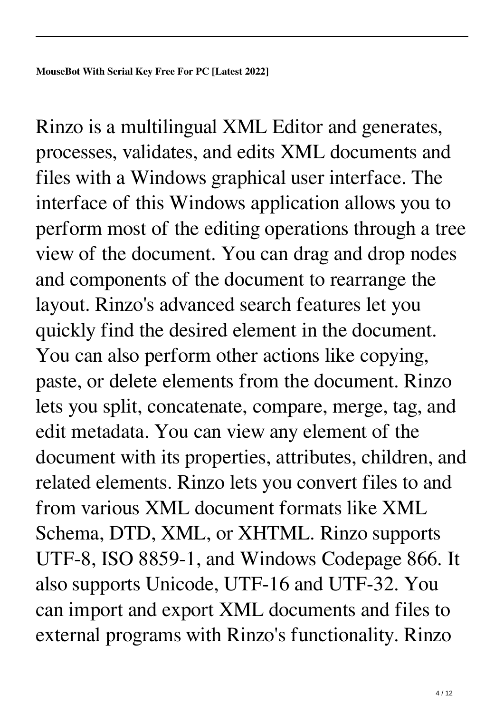Rinzo is a multilingual XML Editor and generates, processes, validates, and edits XML documents and files with a Windows graphical user interface. The interface of this Windows application allows you to perform most of the editing operations through a tree view of the document. You can drag and drop nodes and components of the document to rearrange the layout. Rinzo's advanced search features let you quickly find the desired element in the document. You can also perform other actions like copying, paste, or delete elements from the document. Rinzo lets you split, concatenate, compare, merge, tag, and edit metadata. You can view any element of the document with its properties, attributes, children, and related elements. Rinzo lets you convert files to and from various XML document formats like XML Schema, DTD, XML, or XHTML. Rinzo supports UTF-8, ISO 8859-1, and Windows Codepage 866. It also supports Unicode, UTF-16 and UTF-32. You can import and export XML documents and files to external programs with Rinzo's functionality. Rinzo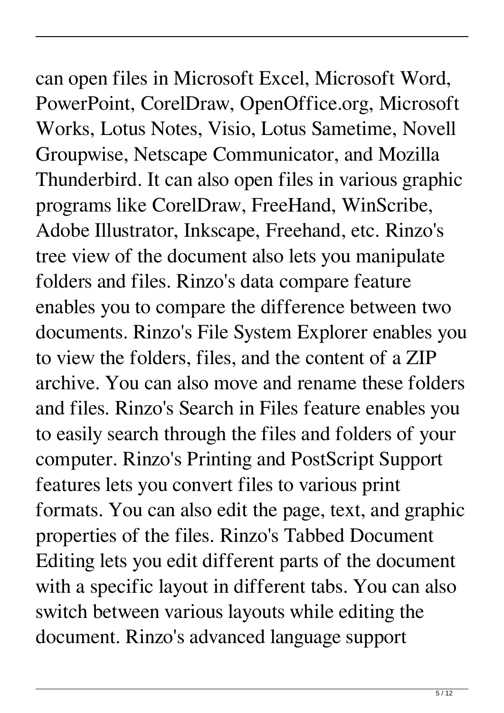## can open files in Microsoft Excel, Microsoft Word, PowerPoint, CorelDraw, OpenOffice.org, Microsoft

Works, Lotus Notes, Visio, Lotus Sametime, Novell Groupwise, Netscape Communicator, and Mozilla Thunderbird. It can also open files in various graphic programs like CorelDraw, FreeHand, WinScribe, Adobe Illustrator, Inkscape, Freehand, etc. Rinzo's tree view of the document also lets you manipulate folders and files. Rinzo's data compare feature enables you to compare the difference between two documents. Rinzo's File System Explorer enables you to view the folders, files, and the content of a ZIP archive. You can also move and rename these folders and files. Rinzo's Search in Files feature enables you to easily search through the files and folders of your computer. Rinzo's Printing and PostScript Support features lets you convert files to various print formats. You can also edit the page, text, and graphic properties of the files. Rinzo's Tabbed Document Editing lets you edit different parts of the document with a specific layout in different tabs. You can also switch between various layouts while editing the document. Rinzo's advanced language support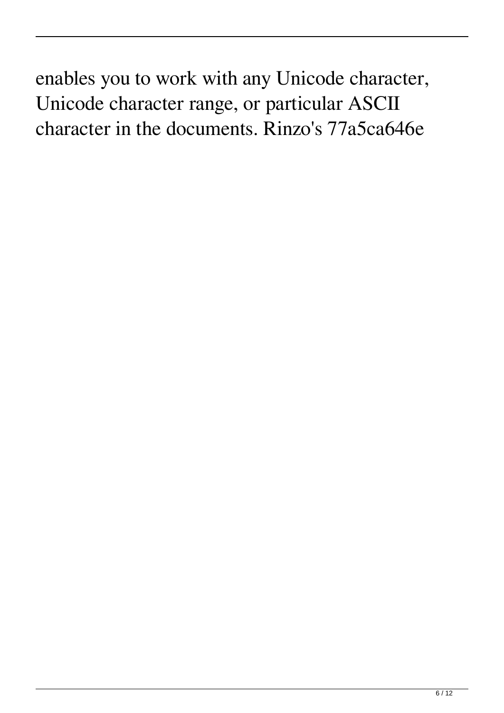enables you to work with any Unicode character, Unicode character range, or particular ASCII character in the documents. Rinzo's 77a5ca646e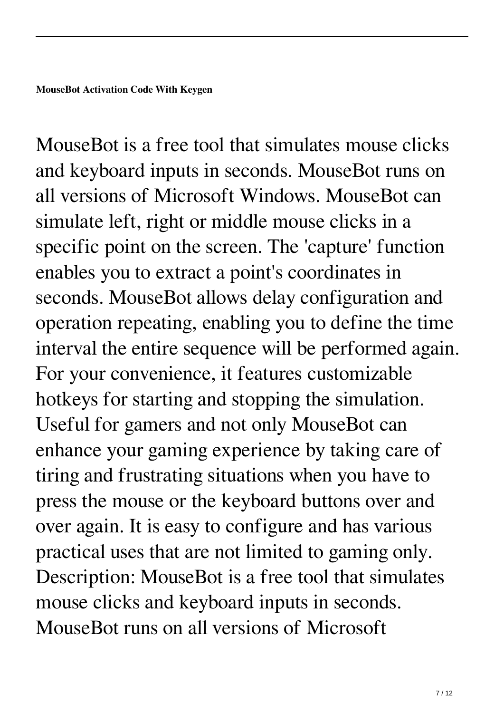MouseBot is a free tool that simulates mouse clicks and keyboard inputs in seconds. MouseBot runs on all versions of Microsoft Windows. MouseBot can simulate left, right or middle mouse clicks in a specific point on the screen. The 'capture' function enables you to extract a point's coordinates in seconds. MouseBot allows delay configuration and operation repeating, enabling you to define the time interval the entire sequence will be performed again. For your convenience, it features customizable hotkeys for starting and stopping the simulation. Useful for gamers and not only MouseBot can enhance your gaming experience by taking care of tiring and frustrating situations when you have to press the mouse or the keyboard buttons over and over again. It is easy to configure and has various practical uses that are not limited to gaming only. Description: MouseBot is a free tool that simulates mouse clicks and keyboard inputs in seconds. MouseBot runs on all versions of Microsoft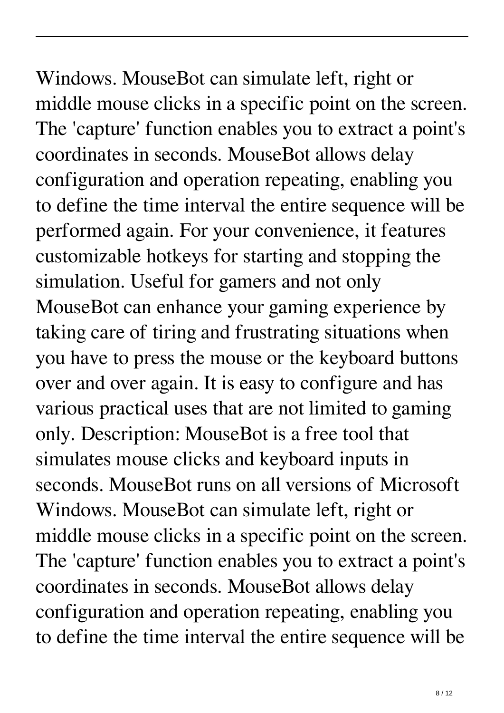Windows. MouseBot can simulate left, right or middle mouse clicks in a specific point on the screen. The 'capture' function enables you to extract a point's coordinates in seconds. MouseBot allows delay configuration and operation repeating, enabling you to define the time interval the entire sequence will be performed again. For your convenience, it features customizable hotkeys for starting and stopping the simulation. Useful for gamers and not only MouseBot can enhance your gaming experience by taking care of tiring and frustrating situations when you have to press the mouse or the keyboard buttons over and over again. It is easy to configure and has various practical uses that are not limited to gaming only. Description: MouseBot is a free tool that simulates mouse clicks and keyboard inputs in

seconds. MouseBot runs on all versions of Microsoft Windows. MouseBot can simulate left, right or middle mouse clicks in a specific point on the screen. The 'capture' function enables you to extract a point's coordinates in seconds. MouseBot allows delay configuration and operation repeating, enabling you to define the time interval the entire sequence will be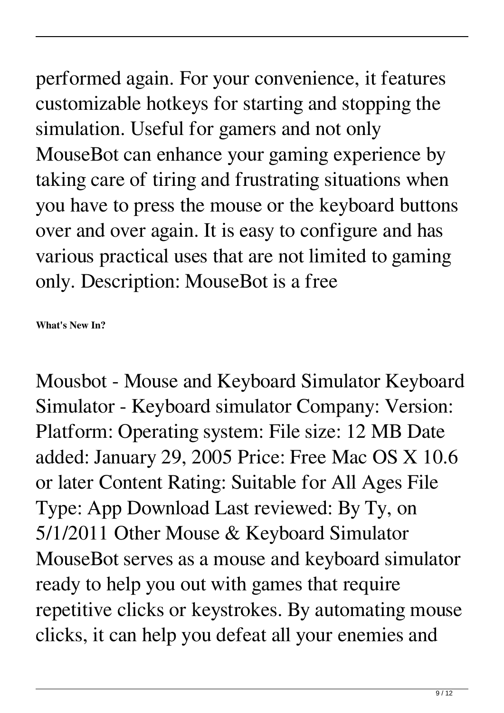performed again. For your convenience, it features customizable hotkeys for starting and stopping the simulation. Useful for gamers and not only MouseBot can enhance your gaming experience by taking care of tiring and frustrating situations when you have to press the mouse or the keyboard buttons over and over again. It is easy to configure and has

various practical uses that are not limited to gaming only. Description: MouseBot is a free

**What's New In?**

Mousbot - Mouse and Keyboard Simulator Keyboard Simulator - Keyboard simulator Company: Version: Platform: Operating system: File size: 12 MB Date added: January 29, 2005 Price: Free Mac OS X 10.6 or later Content Rating: Suitable for All Ages File Type: App Download Last reviewed: By Ty, on 5/1/2011 Other Mouse & Keyboard Simulator MouseBot serves as a mouse and keyboard simulator ready to help you out with games that require repetitive clicks or keystrokes. By automating mouse clicks, it can help you defeat all your enemies and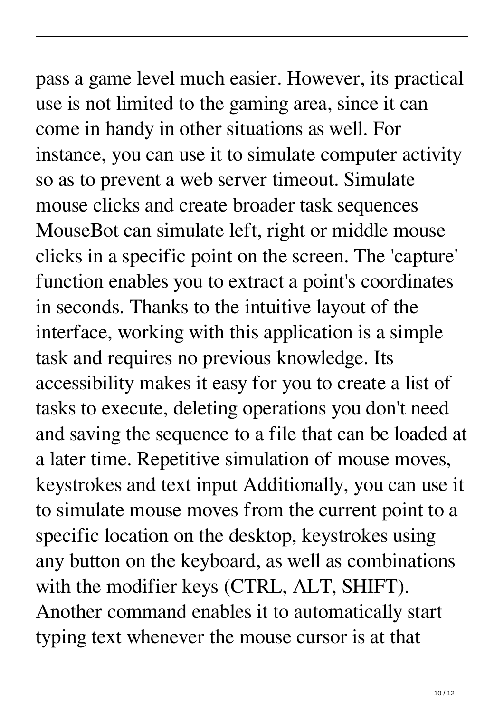## pass a game level much easier. However, its practical

use is not limited to the gaming area, since it can come in handy in other situations as well. For instance, you can use it to simulate computer activity so as to prevent a web server timeout. Simulate mouse clicks and create broader task sequences MouseBot can simulate left, right or middle mouse clicks in a specific point on the screen. The 'capture' function enables you to extract a point's coordinates in seconds. Thanks to the intuitive layout of the interface, working with this application is a simple task and requires no previous knowledge. Its accessibility makes it easy for you to create a list of tasks to execute, deleting operations you don't need and saving the sequence to a file that can be loaded at a later time. Repetitive simulation of mouse moves, keystrokes and text input Additionally, you can use it to simulate mouse moves from the current point to a specific location on the desktop, keystrokes using any button on the keyboard, as well as combinations with the modifier keys (CTRL, ALT, SHIFT). Another command enables it to automatically start typing text whenever the mouse cursor is at that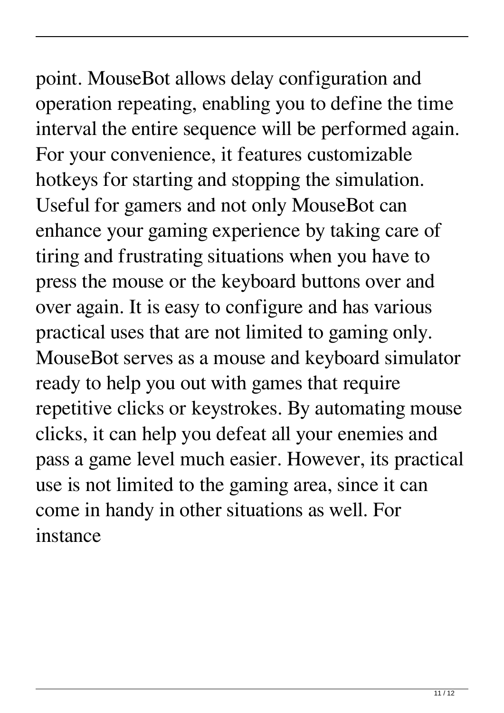point. MouseBot allows delay configuration and operation repeating, enabling you to define the time interval the entire sequence will be performed again. For your convenience, it features customizable hotkeys for starting and stopping the simulation. Useful for gamers and not only MouseBot can enhance your gaming experience by taking care of tiring and frustrating situations when you have to press the mouse or the keyboard buttons over and over again. It is easy to configure and has various practical uses that are not limited to gaming only. MouseBot serves as a mouse and keyboard simulator ready to help you out with games that require repetitive clicks or keystrokes. By automating mouse clicks, it can help you defeat all your enemies and pass a game level much easier. However, its practical use is not limited to the gaming area, since it can come in handy in other situations as well. For instance